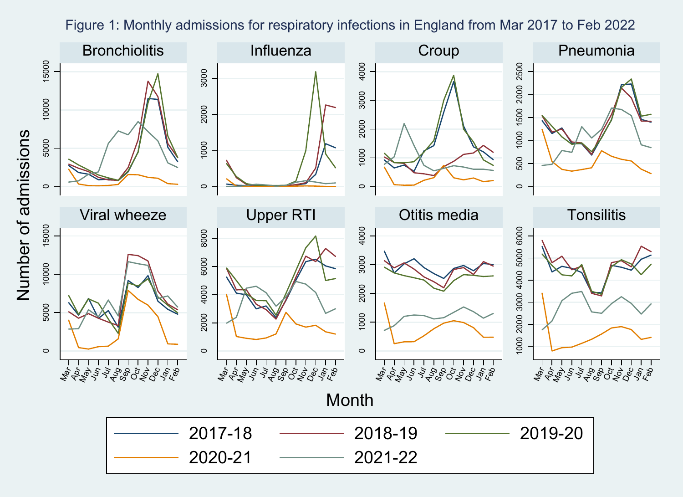## Figure 1: Monthly admissions for respiratory infections in England from Mar 2017 to Feb 2022

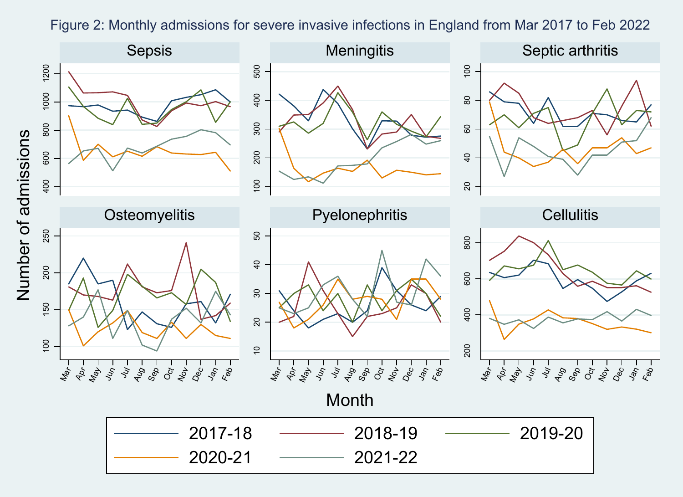## Figure 2: Monthly admissions for severe invasive infections in England from Mar 2017 to Feb 2022